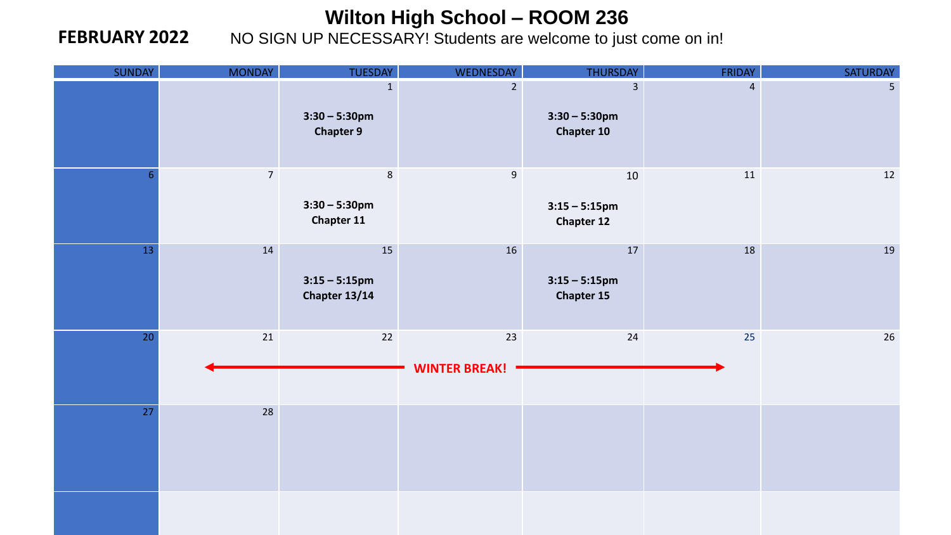#### **FEBRUARY 2022**

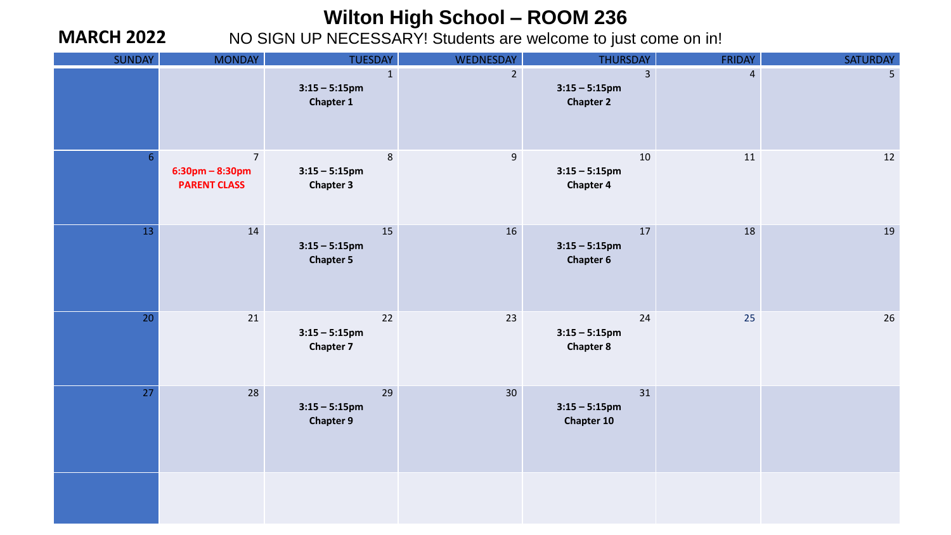#### **MARCH 2022**

| SUNDAY         | <b>MONDAY</b>                                                  | <b>TUESDAY</b>                                       | <b>WEDNESDAY</b> | THURSDAY                                               | <b>FRIDAY</b>  | SATURDAY       |
|----------------|----------------------------------------------------------------|------------------------------------------------------|------------------|--------------------------------------------------------|----------------|----------------|
|                |                                                                | $\mathbf{1}$<br>$3:15 - 5:15$ pm<br><b>Chapter 1</b> | 2 <sup>1</sup>   | $\overline{3}$<br>$3:15 - 5:15$ pm<br><b>Chapter 2</b> | $\overline{4}$ | 5 <sub>1</sub> |
| 6 <sup>1</sup> | $\overline{7}$<br>$6:30$ pm – $8:30$ pm<br><b>PARENT CLASS</b> | 8<br>$3:15 - 5:15$ pm<br><b>Chapter 3</b>            | $\boldsymbol{9}$ | 10<br>$3:15 - 5:15$ pm<br><b>Chapter 4</b>             | 11             | 12             |
| 13             | 14                                                             | 15<br>$3:15 - 5:15$ pm<br><b>Chapter 5</b>           | 16               | 17<br>$3:15 - 5:15$ pm<br><b>Chapter 6</b>             | 18             | 19             |
| 20             | 21                                                             | 22<br>$3:15 - 5:15$ pm<br><b>Chapter 7</b>           | 23               | 24<br>$3:15 - 5:15$ pm<br><b>Chapter 8</b>             | 25             | 26             |
| 27             | 28                                                             | 29<br>$3:15 - 5:15$ pm<br><b>Chapter 9</b>           | 30 <sup>°</sup>  | 31<br>$3:15 - 5:15$ pm<br><b>Chapter 10</b>            |                |                |
|                |                                                                |                                                      |                  |                                                        |                |                |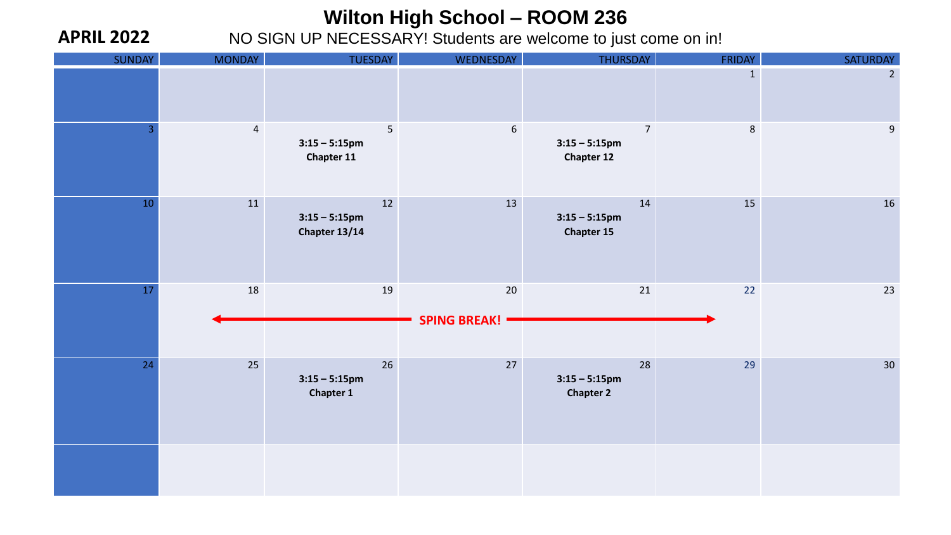**APRIL 2022**

| SUNDAY         | <b>MONDAY</b>  | TUESDAY                                    | WEDNESDAY                 | THURSDAY                                                | <b>FRIDAY</b> | SATURDAY       |
|----------------|----------------|--------------------------------------------|---------------------------|---------------------------------------------------------|---------------|----------------|
|                |                |                                            |                           |                                                         | $\mathbf{1}$  | $\overline{2}$ |
| $\overline{3}$ | $\overline{4}$ | 5<br>$3:15 - 5:15$ pm<br>Chapter 11        | $\sqrt{6}$                | $\overline{7}$<br>$3:15 - 5:15$ pm<br><b>Chapter 12</b> | $\,8\,$       | $9\,$          |
| 10             | 11             | 12<br>$3:15 - 5:15$ pm<br>Chapter 13/14    | 13                        | 14<br>$3:15 - 5:15$ pm<br><b>Chapter 15</b>             | 15            | 16             |
| 17             | 18             | 19                                         | 20<br><b>SPING BREAK!</b> | 21                                                      | 22            | 23             |
| 24             | 25             | 26<br>$3:15 - 5:15$ pm<br><b>Chapter 1</b> | 27                        | 28<br>$3:15 - 5:15$ pm<br><b>Chapter 2</b>              | 29            | 30             |
|                |                |                                            |                           |                                                         |               |                |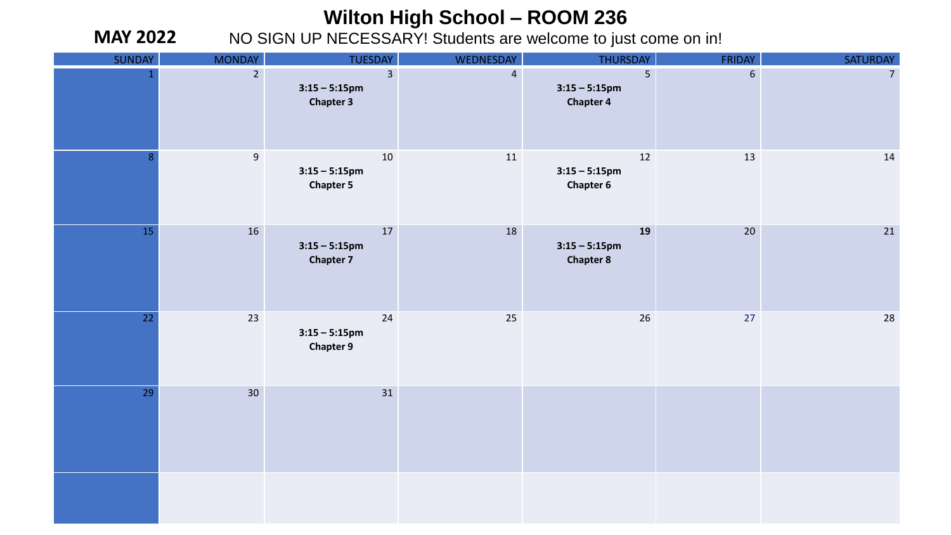**MAY 2022**

| <b>SUNDAY</b>   | <b>MONDAY</b>   | <b>TUESDAY</b>                                         | <b>WEDNESDAY</b> | THURSDAY                                   | <b>FRIDAY</b>  | SATURDAY       |
|-----------------|-----------------|--------------------------------------------------------|------------------|--------------------------------------------|----------------|----------------|
| $\mathbf{1}$    | $2^{\circ}$     | $\overline{3}$<br>$3:15 - 5:15$ pm<br><b>Chapter 3</b> | $\overline{4}$   | 5<br>$3:15 - 5:15$ pm<br><b>Chapter 4</b>  | $6\phantom{a}$ | 7 <sup>7</sup> |
| 8               | 9               | 10<br>$3:15 - 5:15$ pm<br><b>Chapter 5</b>             | 11               | 12<br>$3:15 - 5:15$ pm<br><b>Chapter 6</b> | 13             | 14             |
| 15              | 16              | 17<br>$3:15 - 5:15$ pm<br><b>Chapter 7</b>             | 18               | 19<br>$3:15 - 5:15$ pm<br><b>Chapter 8</b> | 20             | 21             |
| 22 <sub>2</sub> | 23              | 24<br>$3:15 - 5:15$ pm<br><b>Chapter 9</b>             | 25               | 26                                         | 27             | 28             |
| 29              | 30 <sup>°</sup> | 31                                                     |                  |                                            |                |                |
|                 |                 |                                                        |                  |                                            |                |                |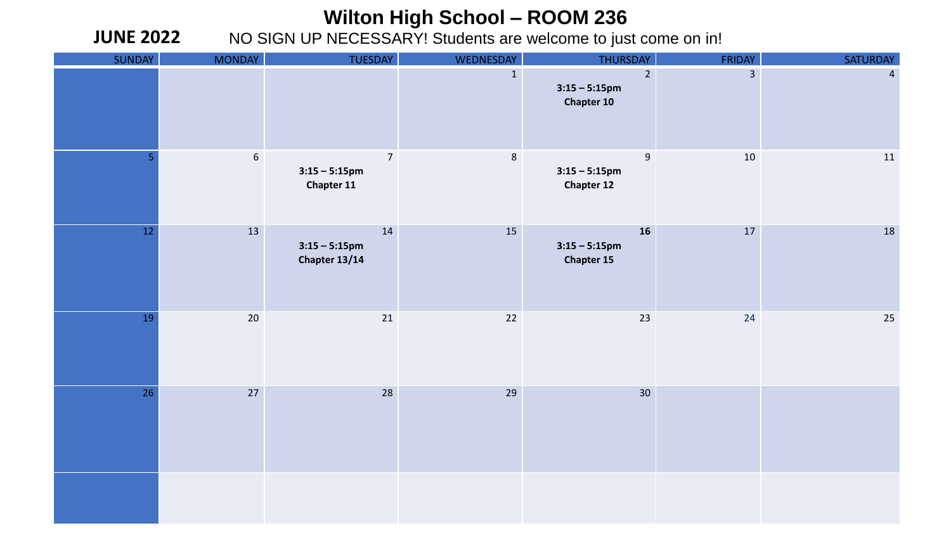NO SIGN UP NECESSARY! Students are welcome to just come on in!

**JUNE 2022**

| SUNDAY | <b>MONDAY</b> | TUESDAY                                                 | <b>WEDNESDAY</b> | <b>THURSDAY</b>                                           | <b>FRIDAY</b>  | SATURDAY       |
|--------|---------------|---------------------------------------------------------|------------------|-----------------------------------------------------------|----------------|----------------|
|        |               |                                                         | $\mathbf{1}$     | $\overline{2}$<br>$3:15 - 5:15$ pm<br><b>Chapter 10</b>   | $\overline{3}$ | $\overline{4}$ |
| 5      | $6\,$         | $\overline{7}$<br>$3:15 - 5:15$ pm<br><b>Chapter 11</b> | $\bf 8$          | $\boldsymbol{9}$<br>$3:15 - 5:15$ pm<br><b>Chapter 12</b> | $10\,$         | 11             |
| 12     | 13            | 14<br>$3:15 - 5:15$ pm<br>Chapter 13/14                 | 15               | 16<br>$3:15 - 5:15$ pm<br><b>Chapter 15</b>               | 17             | 18             |
| 19     | $20\,$        | 21                                                      | $22$             | 23                                                        | 24             | $25\,$         |
| 26     | 27            | 28                                                      | 29               | 30 <sup>°</sup>                                           |                |                |
|        |               |                                                         |                  |                                                           |                |                |